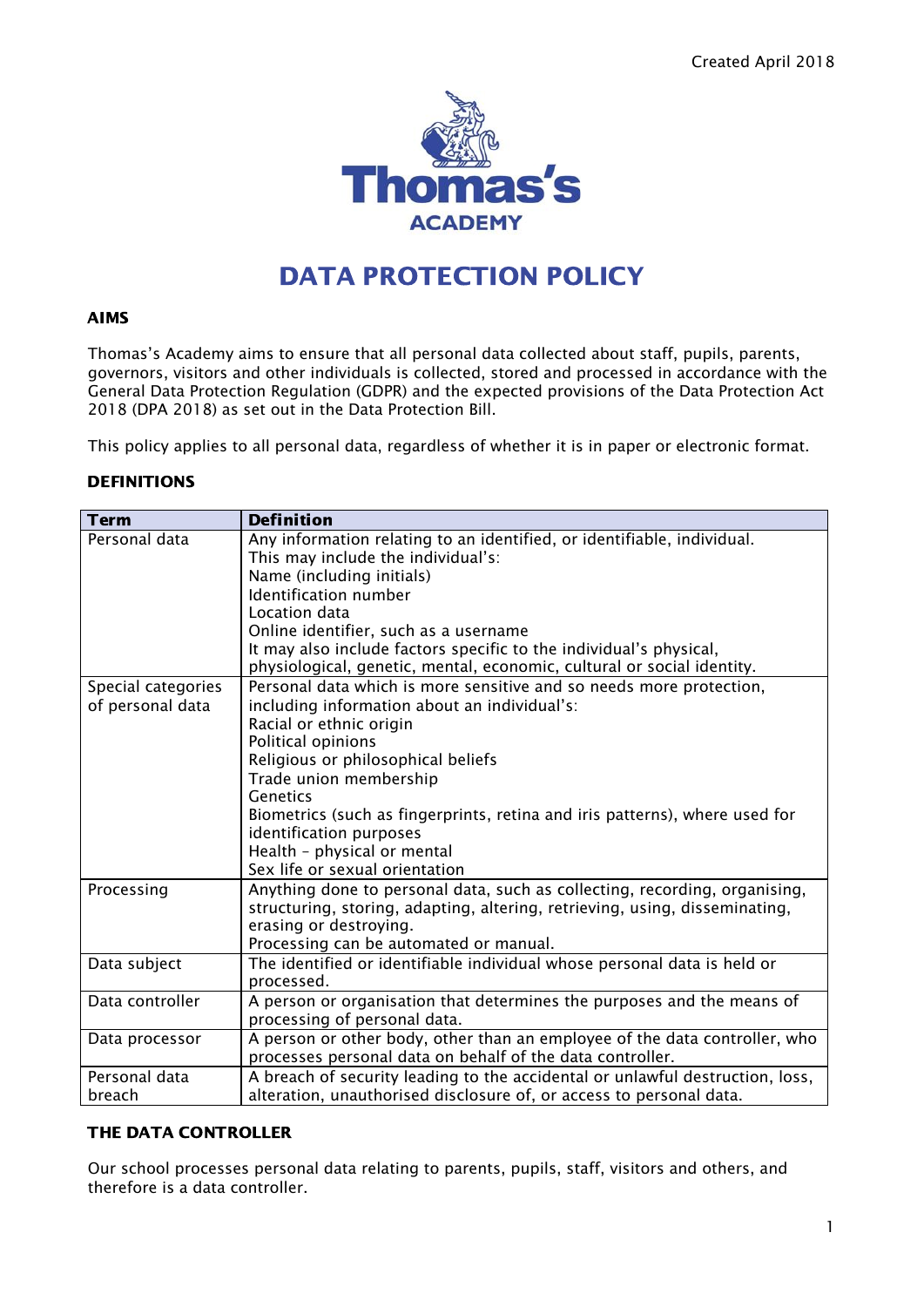

# DATA PROTECTION POLICY

#### AIMS

Thomas's Academy aims to ensure that all personal data collected about staff, pupils, parents, governors, visitors and other individuals is collected, stored and processed in accordance with the General Data Protection Regulation (GDPR) and the expected provisions of the Data Protection Act 2018 (DPA 2018) as set out in the Data Protection Bill.

This policy applies to all personal data, regardless of whether it is in paper or electronic format.

## DEFINITIONS

| <b>Term</b>        | <b>Definition</b>                                                             |
|--------------------|-------------------------------------------------------------------------------|
| Personal data      | Any information relating to an identified, or identifiable, individual.       |
|                    | This may include the individual's:                                            |
|                    | Name (including initials)                                                     |
|                    | <b>Identification number</b>                                                  |
|                    | Location data                                                                 |
|                    | Online identifier, such as a username                                         |
|                    | It may also include factors specific to the individual's physical,            |
|                    | physiological, genetic, mental, economic, cultural or social identity.        |
| Special categories | Personal data which is more sensitive and so needs more protection,           |
| of personal data   | including information about an individual's:                                  |
|                    | Racial or ethnic origin                                                       |
|                    | Political opinions                                                            |
|                    | Religious or philosophical beliefs                                            |
|                    | Trade union membership                                                        |
|                    | Genetics                                                                      |
|                    | Biometrics (such as fingerprints, retina and iris patterns), where used for   |
|                    | identification purposes                                                       |
|                    | Health - physical or mental                                                   |
|                    | Sex life or sexual orientation                                                |
| Processing         | Anything done to personal data, such as collecting, recording, organising,    |
|                    | structuring, storing, adapting, altering, retrieving, using, disseminating,   |
|                    | erasing or destroying.                                                        |
|                    | Processing can be automated or manual.                                        |
| Data subject       | The identified or identifiable individual whose personal data is held or      |
|                    | processed.                                                                    |
| Data controller    | A person or organisation that determines the purposes and the means of        |
|                    | processing of personal data.                                                  |
| Data processor     | A person or other body, other than an employee of the data controller, who    |
|                    | processes personal data on behalf of the data controller.                     |
| Personal data      | A breach of security leading to the accidental or unlawful destruction, loss, |
| breach             | alteration, unauthorised disclosure of, or access to personal data.           |

## THE DATA CONTROLLER

Our school processes personal data relating to parents, pupils, staff, visitors and others, and therefore is a data controller.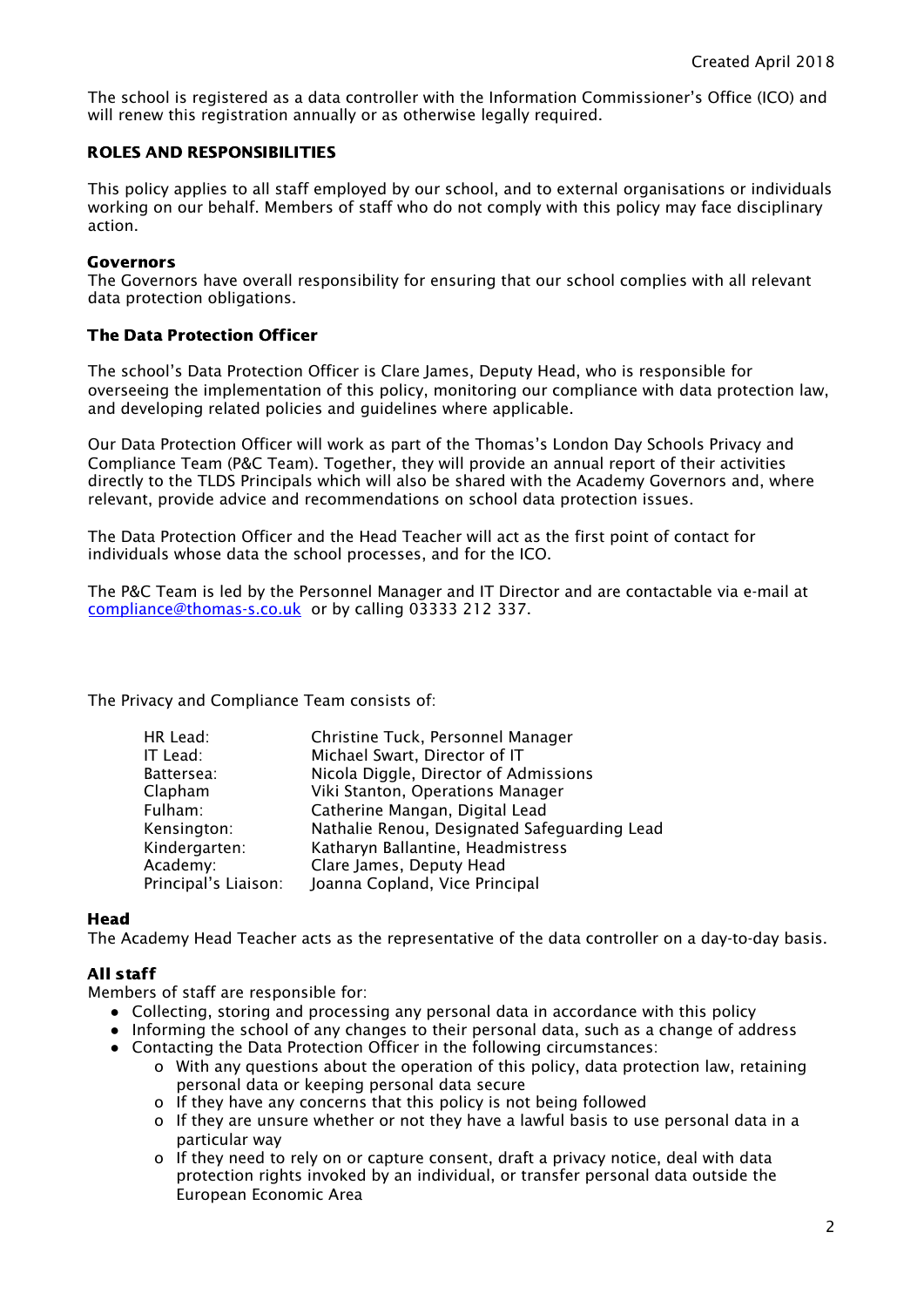The school is registered as a data controller with the Information Commissioner's Office (ICO) and will renew this registration annually or as otherwise legally required.

## ROLES AND RESPONSIBILITIES

This policy applies to all staff employed by our school, and to external organisations or individuals working on our behalf. Members of staff who do not comply with this policy may face disciplinary action.

#### Governors

The Governors have overall responsibility for ensuring that our school complies with all relevant data protection obligations.

## The Data Protection Officer

The school's Data Protection Officer is Clare James, Deputy Head, who is responsible for overseeing the implementation of this policy, monitoring our compliance with data protection law, and developing related policies and guidelines where applicable.

Our Data Protection Officer will work as part of the Thomas's London Day Schools Privacy and Compliance Team (P&C Team). Together, they will provide an annual report of their activities directly to the TLDS Principals which will also be shared with the Academy Governors and, where relevant, provide advice and recommendations on school data protection issues.

The Data Protection Officer and the Head Teacher will act as the first point of contact for individuals whose data the school processes, and for the ICO.

The P&C Team is led by the Personnel Manager and IT Director and are contactable via e-mail at [compliance@thomas-s.co.uk](mailto:compliance@thomas-s.co.uk) or by calling 03333 212 337.

The Privacy and Compliance Team consists of:

| HR Lead:             | Christine Tuck, Personnel Manager            |
|----------------------|----------------------------------------------|
| IT Lead:             | Michael Swart, Director of IT                |
| Battersea:           | Nicola Diggle, Director of Admissions        |
| Clapham              | Viki Stanton, Operations Manager             |
| Fulham:              | Catherine Mangan, Digital Lead               |
| Kensington:          | Nathalie Renou, Designated Safeguarding Lead |
| Kindergarten:        | Katharyn Ballantine, Headmistress            |
| Academy:             | Clare James, Deputy Head                     |
| Principal's Liaison: | Joanna Copland, Vice Principal               |
|                      |                                              |

#### Head

The Academy Head Teacher acts as the representative of the data controller on a day-to-day basis.

## All staff

Members of staff are responsible for:

- Collecting, storing and processing any personal data in accordance with this policy
- Informing the school of any changes to their personal data, such as a change of address
- Contacting the Data Protection Officer in the following circumstances:
	- o With any questions about the operation of this policy, data protection law, retaining personal data or keeping personal data secure
	- o If they have any concerns that this policy is not being followed
	- o If they are unsure whether or not they have a lawful basis to use personal data in a particular way
	- o If they need to rely on or capture consent, draft a privacy notice, deal with data protection rights invoked by an individual, or transfer personal data outside the European Economic Area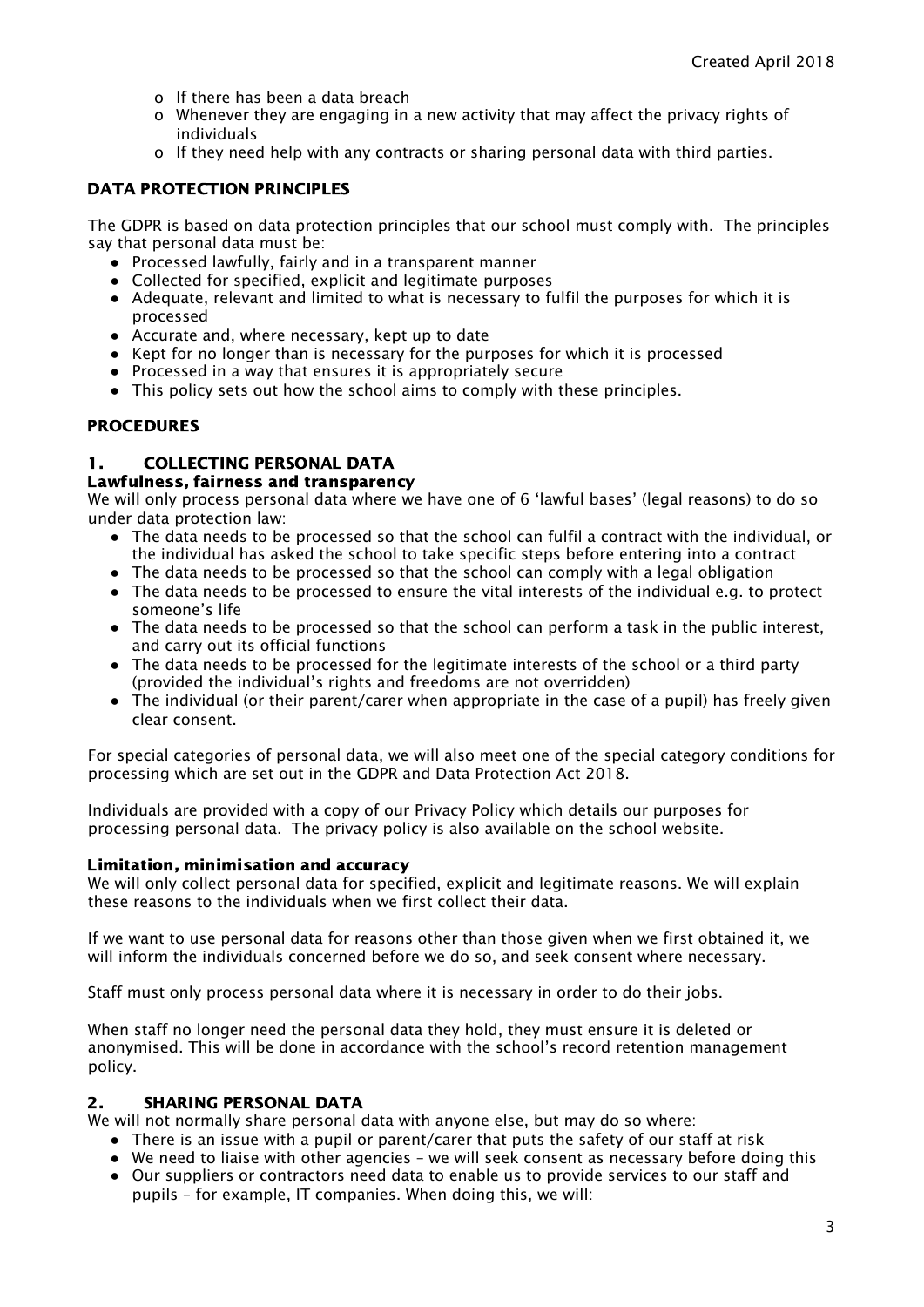- o If there has been a data breach
- o Whenever they are engaging in a new activity that may affect the privacy rights of individuals
- o If they need help with any contracts or sharing personal data with third parties.

## DATA PROTECTION PRINCIPLES

The GDPR is based on data protection principles that our school must comply with. The principles say that personal data must be:

- Processed lawfully, fairly and in a transparent manner
- Collected for specified, explicit and legitimate purposes
- Adequate, relevant and limited to what is necessary to fulfil the purposes for which it is processed
- Accurate and, where necessary, kept up to date
- Kept for no longer than is necessary for the purposes for which it is processed
- Processed in a way that ensures it is appropriately secure
- This policy sets out how the school aims to comply with these principles.

## **PROCEDURES**

## 1. COLLECTING PERSONAL DATA

## Lawfulness, fairness and transparency

We will only process personal data where we have one of 6 'lawful bases' (legal reasons) to do so under data protection law:

- The data needs to be processed so that the school can fulfil a contract with the individual, or the individual has asked the school to take specific steps before entering into a contract
- The data needs to be processed so that the school can comply with a legal obligation
- The data needs to be processed to ensure the vital interests of the individual e.g. to protect someone's life
- The data needs to be processed so that the school can perform a task in the public interest, and carry out its official functions
- The data needs to be processed for the legitimate interests of the school or a third party (provided the individual's rights and freedoms are not overridden)
- The individual (or their parent/carer when appropriate in the case of a pupil) has freely given clear consent.

For special categories of personal data, we will also meet one of the special category conditions for processing which are set out in the GDPR and Data Protection Act 2018.

Individuals are provided with a copy of our Privacy Policy which details our purposes for processing personal data. The privacy policy is also available on the school website.

#### Limitation, minimisation and accuracy

We will only collect personal data for specified, explicit and legitimate reasons. We will explain these reasons to the individuals when we first collect their data.

If we want to use personal data for reasons other than those given when we first obtained it, we will inform the individuals concerned before we do so, and seek consent where necessary.

Staff must only process personal data where it is necessary in order to do their jobs.

When staff no longer need the personal data they hold, they must ensure it is deleted or anonymised. This will be done in accordance with the school's record retention management policy.

## 2. SHARING PERSONAL DATA

We will not normally share personal data with anyone else, but may do so where:

- There is an issue with a pupil or parent/carer that puts the safety of our staff at risk
- We need to liaise with other agencies we will seek consent as necessary before doing this
- Our suppliers or contractors need data to enable us to provide services to our staff and pupils – for example, IT companies. When doing this, we will: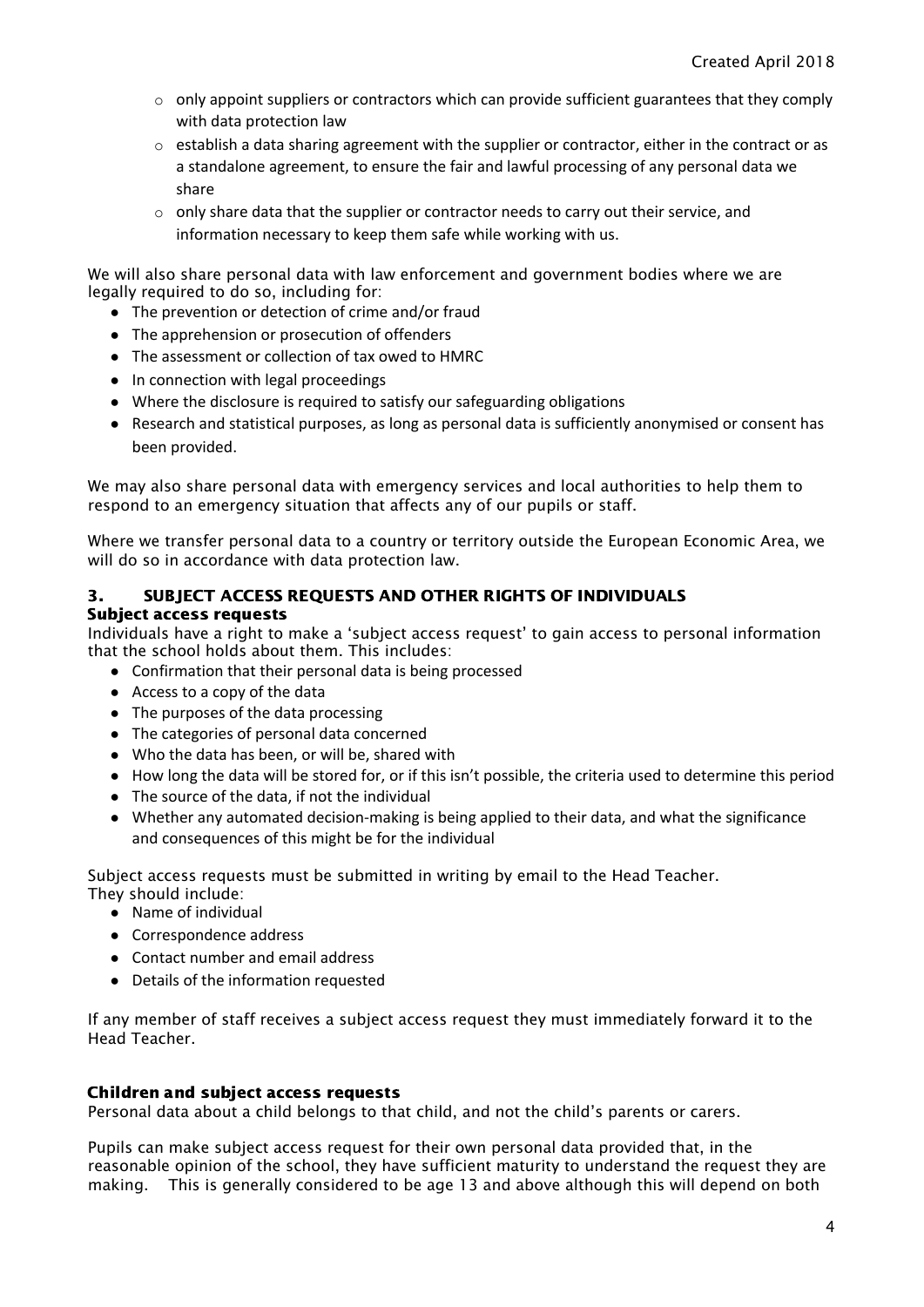- $\circ$  only appoint suppliers or contractors which can provide sufficient guarantees that they comply with data protection law
- $\circ$  establish a data sharing agreement with the supplier or contractor, either in the contract or as a standalone agreement, to ensure the fair and lawful processing of any personal data we share
- $\circ$  only share data that the supplier or contractor needs to carry out their service, and information necessary to keep them safe while working with us.

We will also share personal data with law enforcement and government bodies where we are legally required to do so, including for:

- The prevention or detection of crime and/or fraud
- The apprehension or prosecution of offenders
- The assessment or collection of tax owed to HMRC
- In connection with legal proceedings
- Where the disclosure is required to satisfy our safeguarding obligations
- Research and statistical purposes, as long as personal data is sufficiently anonymised or consent has been provided.

We may also share personal data with emergency services and local authorities to help them to respond to an emergency situation that affects any of our pupils or staff.

Where we transfer personal data to a country or territory outside the European Economic Area, we will do so in accordance with data protection law.

## 3. SUBJECT ACCESS REQUESTS AND OTHER RIGHTS OF INDIVIDUALS Subject access requests

Individuals have a right to make a 'subject access request' to gain access to personal information that the school holds about them. This includes:

- Confirmation that their personal data is being processed
- Access to a copy of the data
- The purposes of the data processing
- The categories of personal data concerned
- Who the data has been, or will be, shared with
- How long the data will be stored for, or if this isn't possible, the criteria used to determine this period
- The source of the data, if not the individual
- Whether any automated decision-making is being applied to their data, and what the significance and consequences of this might be for the individual

Subject access requests must be submitted in writing by email to the Head Teacher. They should include:

- Name of individual
- Correspondence address
- Contact number and email address
- Details of the information requested

If any member of staff receives a subject access request they must immediately forward it to the Head Teacher.

#### Children and subject access requests

Personal data about a child belongs to that child, and not the child's parents or carers.

Pupils can make subject access request for their own personal data provided that, in the reasonable opinion of the school, they have sufficient maturity to understand the request they are making. This is generally considered to be age 13 and above although this will depend on both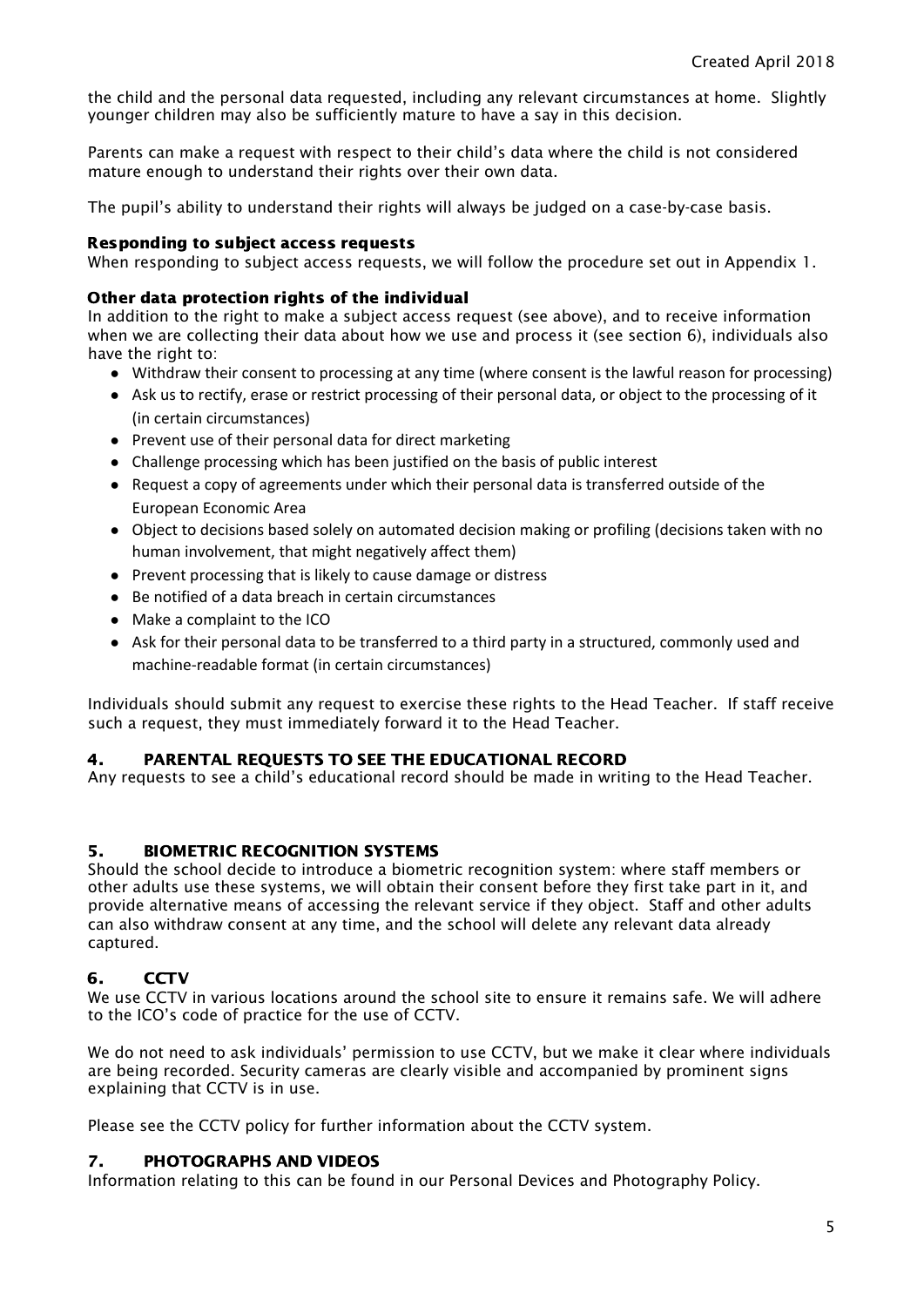the child and the personal data requested, including any relevant circumstances at home. Slightly younger children may also be sufficiently mature to have a say in this decision.

Parents can make a request with respect to their child's data where the child is not considered mature enough to understand their rights over their own data.

The pupil's ability to understand their rights will always be judged on a case-by-case basis.

#### Responding to subject access requests

When responding to subject access requests, we will follow the procedure set out in Appendix 1.

#### Other data protection rights of the individual

In addition to the right to make a subject access request (see above), and to receive information when we are collecting their data about how we use and process it (see section 6), individuals also have the right to:

- Withdraw their consent to processing at any time (where consent is the lawful reason for processing)
- Ask us to rectify, erase or restrict processing of their personal data, or object to the processing of it (in certain circumstances)
- Prevent use of their personal data for direct marketing
- Challenge processing which has been justified on the basis of public interest
- Request a copy of agreements under which their personal data is transferred outside of the European Economic Area
- Object to decisions based solely on automated decision making or profiling (decisions taken with no human involvement, that might negatively affect them)
- Prevent processing that is likely to cause damage or distress
- Be notified of a data breach in certain circumstances
- Make a complaint to the ICO
- Ask for their personal data to be transferred to a third party in a structured, commonly used and machine-readable format (in certain circumstances)

Individuals should submit any request to exercise these rights to the Head Teacher. If staff receive such a request, they must immediately forward it to the Head Teacher.

#### 4. PARENTAL REQUESTS TO SEE THE EDUCATIONAL RECORD

Any requests to see a child's educational record should be made in writing to the Head Teacher.

## 5. BIOMETRIC RECOGNITION SYSTEMS

Should the school decide to introduce a biometric recognition system: where staff members or other adults use these systems, we will obtain their consent before they first take part in it, and provide alternative means of accessing the relevant service if they object. Staff and other adults can also withdraw consent at any time, and the school will delete any relevant data already captured.

#### 6. CCTV

We use CCTV in various locations around the school site to ensure it remains safe. We will adhere to the ICO's code of practice for the use of CCTV.

We do not need to ask individuals' permission to use CCTV, but we make it clear where individuals are being recorded. Security cameras are clearly visible and accompanied by prominent signs explaining that CCTV is in use.

Please see the CCTV policy for further information about the CCTV system.

#### 7. PHOTOGRAPHS AND VIDEOS

Information relating to this can be found in our Personal Devices and Photography Policy.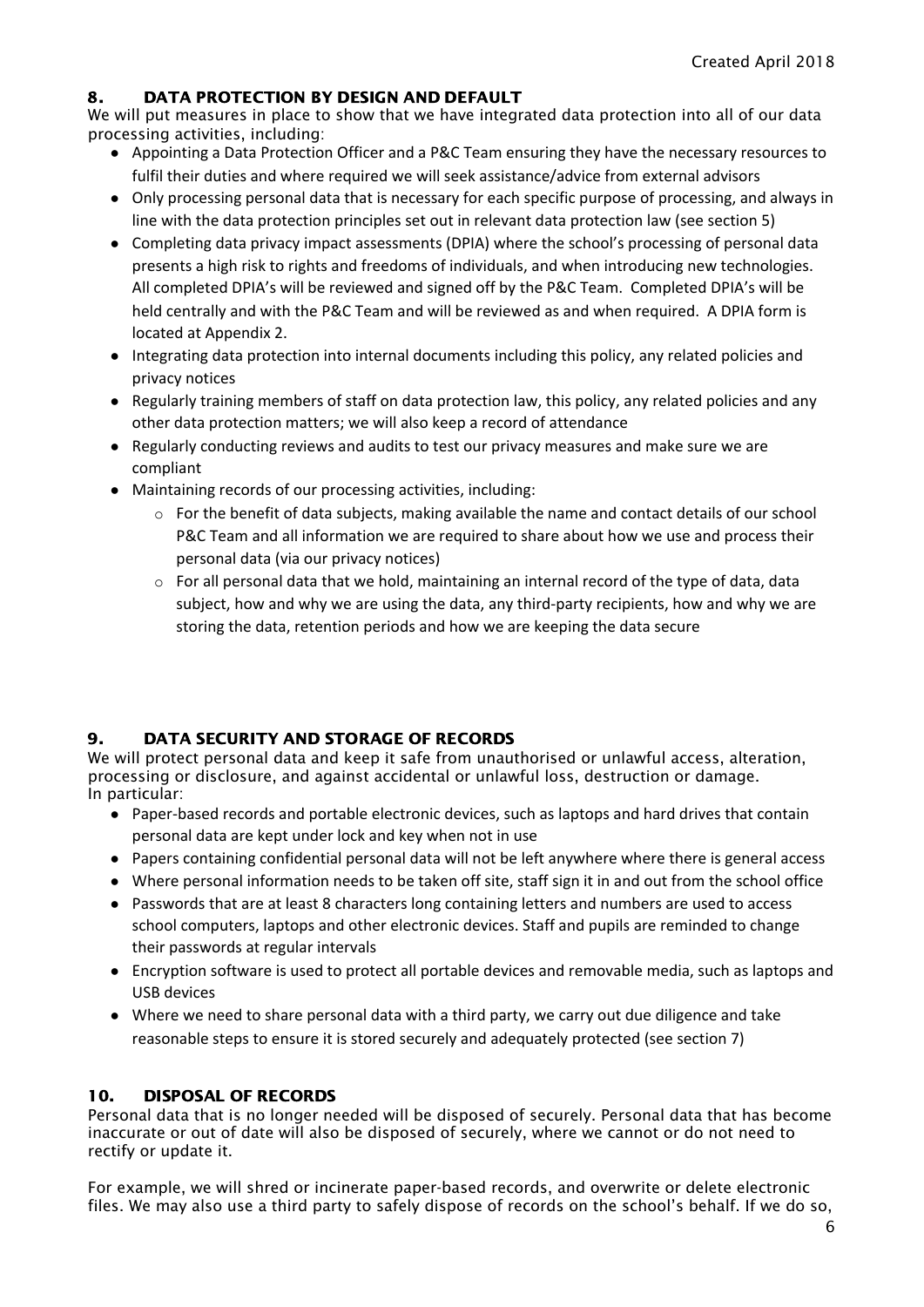## 8. DATA PROTECTION BY DESIGN AND DEFAULT

We will put measures in place to show that we have integrated data protection into all of our data processing activities, including:

- Appointing a Data Protection Officer and a P&C Team ensuring they have the necessary resources to fulfil their duties and where required we will seek assistance/advice from external advisors
- Only processing personal data that is necessary for each specific purpose of processing, and always in line with the data protection principles set out in relevant data protection law (see section 5)
- Completing data privacy impact assessments (DPIA) where the school's processing of personal data presents a high risk to rights and freedoms of individuals, and when introducing new technologies. All completed DPIA's will be reviewed and signed off by the P&C Team. Completed DPIA's will be held centrally and with the P&C Team and will be reviewed as and when required. A DPIA form is located at Appendix 2.
- Integrating data protection into internal documents including this policy, any related policies and privacy notices
- Regularly training members of staff on data protection law, this policy, any related policies and any other data protection matters; we will also keep a record of attendance
- Regularly conducting reviews and audits to test our privacy measures and make sure we are compliant
- Maintaining records of our processing activities, including:
	- $\circ$  For the benefit of data subjects, making available the name and contact details of our school P&C Team and all information we are required to share about how we use and process their personal data (via our privacy notices)
	- $\circ$  For all personal data that we hold, maintaining an internal record of the type of data, data subject, how and why we are using the data, any third-party recipients, how and why we are storing the data, retention periods and how we are keeping the data secure

## 9. DATA SECURITY AND STORAGE OF RECORDS

We will protect personal data and keep it safe from unauthorised or unlawful access, alteration, processing or disclosure, and against accidental or unlawful loss, destruction or damage. In particular:

- Paper-based records and portable electronic devices, such as laptops and hard drives that contain personal data are kept under lock and key when not in use
- Papers containing confidential personal data will not be left anywhere where there is general access
- Where personal information needs to be taken off site, staff sign it in and out from the school office
- Passwords that are at least 8 characters long containing letters and numbers are used to access school computers, laptops and other electronic devices. Staff and pupils are reminded to change their passwords at regular intervals
- Encryption software is used to protect all portable devices and removable media, such as laptops and USB devices
- Where we need to share personal data with a third party, we carry out due diligence and take reasonable steps to ensure it is stored securely and adequately protected (see section 7)

## 10. DISPOSAL OF RECORDS

Personal data that is no longer needed will be disposed of securely. Personal data that has become inaccurate or out of date will also be disposed of securely, where we cannot or do not need to rectify or update it.

For example, we will shred or incinerate paper-based records, and overwrite or delete electronic files. We may also use a third party to safely dispose of records on the school's behalf. If we do so,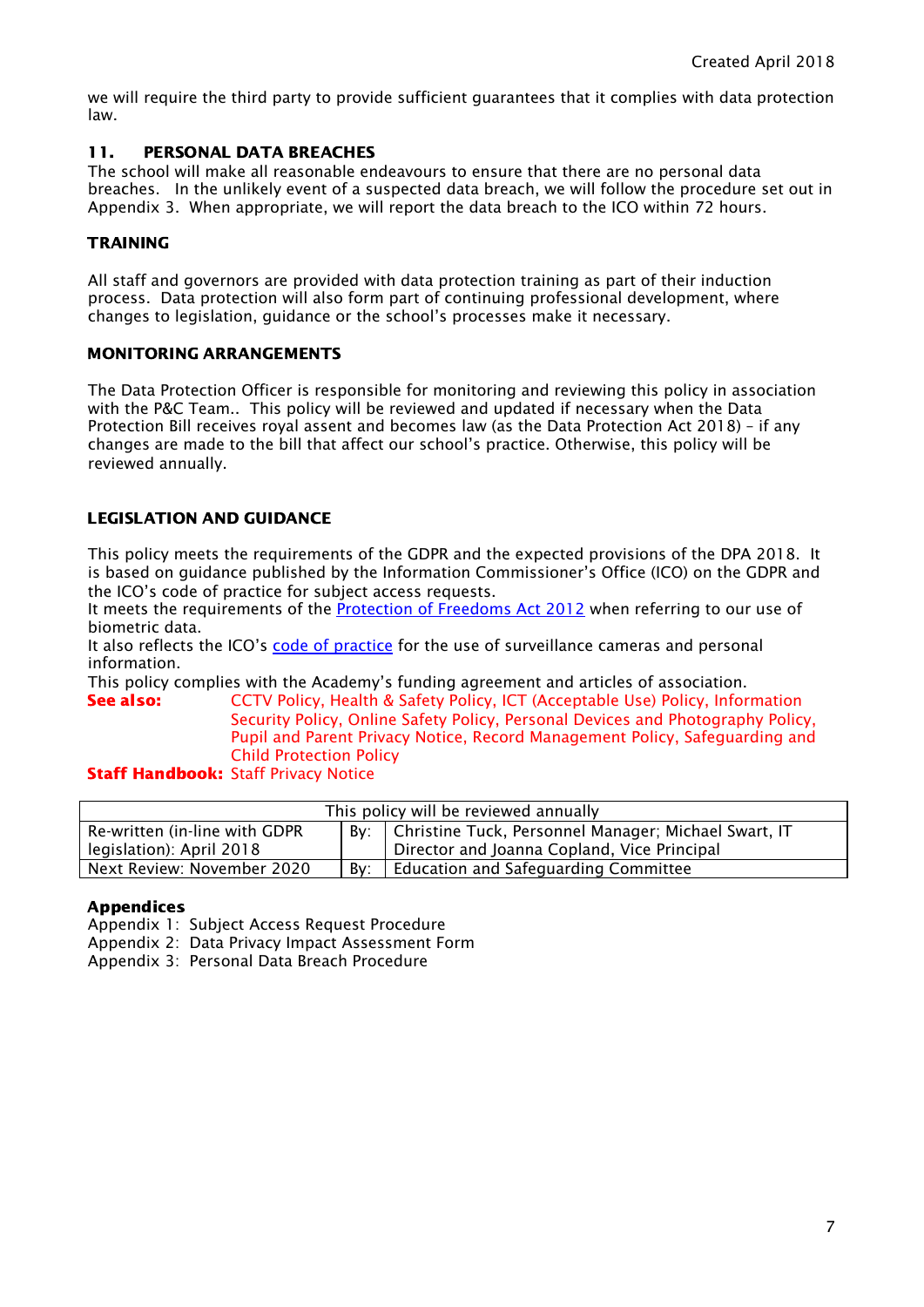we will require the third party to provide sufficient guarantees that it complies with data protection law.

## 11. PERSONAL DATA BREACHES

The school will make all reasonable endeavours to ensure that there are no personal data breaches. In the unlikely event of a suspected data breach, we will follow the procedure set out in Appendix 3. When appropriate, we will report the data breach to the ICO within 72 hours.

## **TRAINING**

All staff and governors are provided with data protection training as part of their induction process. Data protection will also form part of continuing professional development, where changes to legislation, guidance or the school's processes make it necessary.

#### MONITORING ARRANGEMENTS

The Data Protection Officer is responsible for monitoring and reviewing this policy in association with the P&C Team.. This policy will be reviewed and updated if necessary when the Data Protection Bill receives royal assent and becomes law (as the Data Protection Act 2018) – if any changes are made to the bill that affect our school's practice. Otherwise, this policy will be reviewed annually.

## LEGISLATION AND GUIDANCE

This policy meets the requirements of the GDPR and the expected provisions of the DPA 2018. It is based on guidance published by the Information Commissioner's Office (ICO) on the GDPR and the ICO's code of practice for subject access requests.

It meets the requirements of the [Protection](https://www.legislation.gov.uk/ukpga/2012/9/part/1/chapter/2) of Freedoms Act 2012 when referring to our use of biometric data.

It also reflects the ICO's code of [practice](https://ico.org.uk/media/for-organisations/documents/1542/cctv-code-of-practice.pdf) for the use of surveillance cameras and personal information.

This policy complies with the Academy's funding agreement and articles of association.

See also: CCTV Policy, Health & Safety Policy, ICT (Acceptable Use) Policy, Information Security Policy, Online Safety Policy, Personal Devices and Photography Policy, Pupil and Parent Privacy Notice, Record Management Policy, Safeguarding and Child Protection Policy

#### **Staff Handbook: Staff Privacy Notice**

| This policy will be reviewed annually |     |                                                            |  |  |
|---------------------------------------|-----|------------------------------------------------------------|--|--|
| Re-written (in-line with GDPR         |     | By:   Christine Tuck, Personnel Manager; Michael Swart, IT |  |  |
| legislation): April 2018              |     | Director and Joanna Copland, Vice Principal                |  |  |
| Next Review: November 2020            | Bv: | Education and Safeguarding Committee                       |  |  |

#### Appendices

Appendix 1: Subject Access Request Procedure

Appendix 2: Data Privacy Impact Assessment Form

Appendix 3: Personal Data Breach Procedure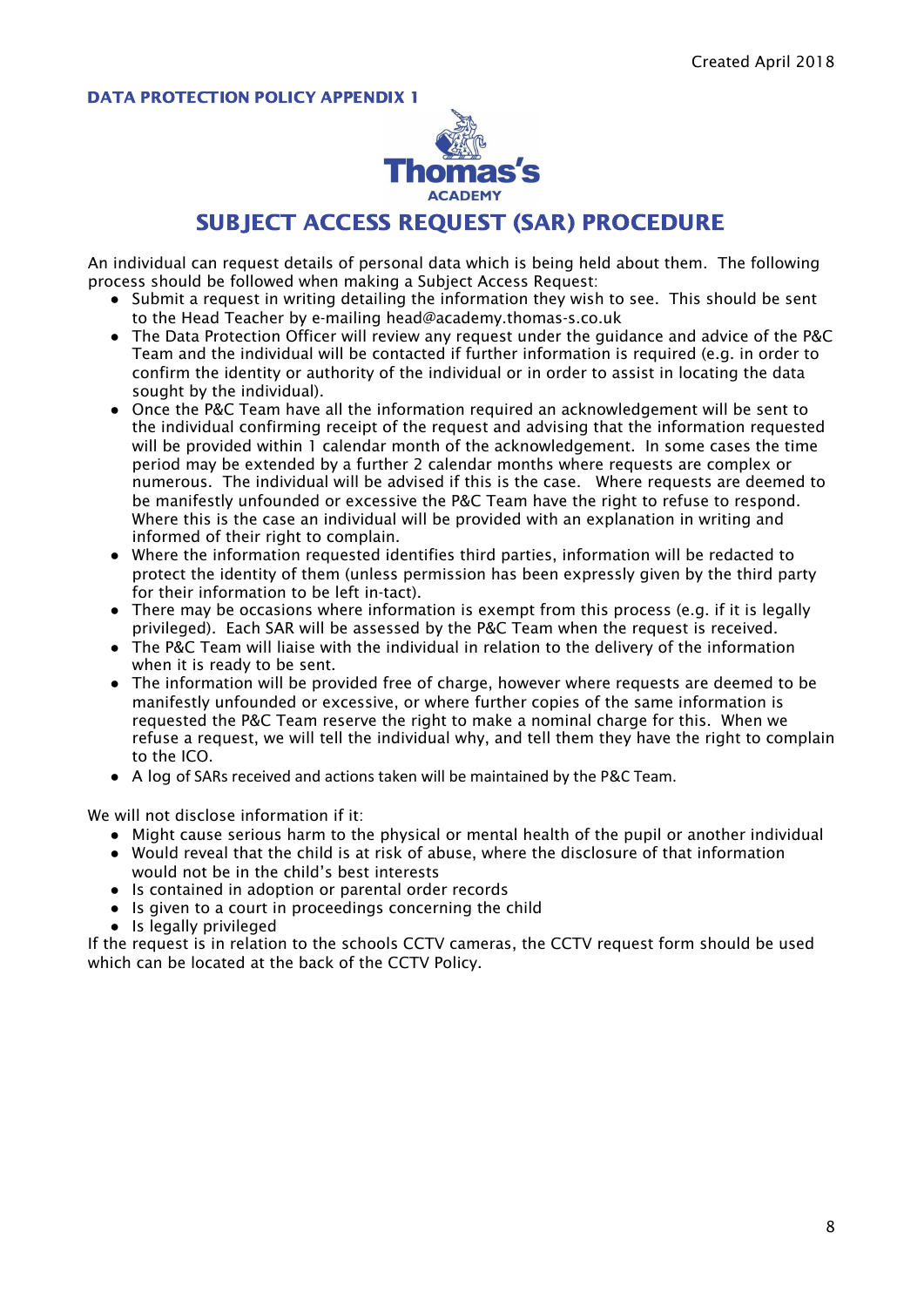#### DATA PROTECTION POLICY APPENDIX 1



## SUBJECT ACCESS REQUEST (SAR) PROCEDURE

An individual can request details of personal data which is being held about them. The following process should be followed when making a Subject Access Request:

- Submit a request in writing detailing the information they wish to see. This should be sent to the Head Teacher by e-mailing head@academy.thomas-s.co.uk
- The Data Protection Officer will review any request under the guidance and advice of the P&C Team and the individual will be contacted if further information is required (e.g. in order to confirm the identity or authority of the individual or in order to assist in locating the data sought by the individual).
- Once the P&C Team have all the information required an acknowledgement will be sent to the individual confirming receipt of the request and advising that the information requested will be provided within 1 calendar month of the acknowledgement. In some cases the time period may be extended by a further 2 calendar months where requests are complex or numerous. The individual will be advised if this is the case. Where requests are deemed to be manifestly unfounded or excessive the P&C Team have the right to refuse to respond. Where this is the case an individual will be provided with an explanation in writing and informed of their right to complain.
- Where the information requested identifies third parties, information will be redacted to protect the identity of them (unless permission has been expressly given by the third party for their information to be left in-tact).
- There may be occasions where information is exempt from this process (e.g. if it is legally privileged). Each SAR will be assessed by the P&C Team when the request is received.
- The P&C Team will liaise with the individual in relation to the delivery of the information when it is ready to be sent.
- The information will be provided free of charge, however where requests are deemed to be manifestly unfounded or excessive, or where further copies of the same information is requested the P&C Team reserve the right to make a nominal charge for this. When we refuse a request, we will tell the individual why, and tell them they have the right to complain to the ICO.
- A log of SARs received and actions taken will be maintained by the P&C Team.

We will not disclose information if it:

- Might cause serious harm to the physical or mental health of the pupil or another individual
- Would reveal that the child is at risk of abuse, where the disclosure of that information would not be in the child's best interests
- Is contained in adoption or parental order records
- Is given to a court in proceedings concerning the child
- Is legally privileged

If the request is in relation to the schools CCTV cameras, the CCTV request form should be used which can be located at the back of the CCTV Policy.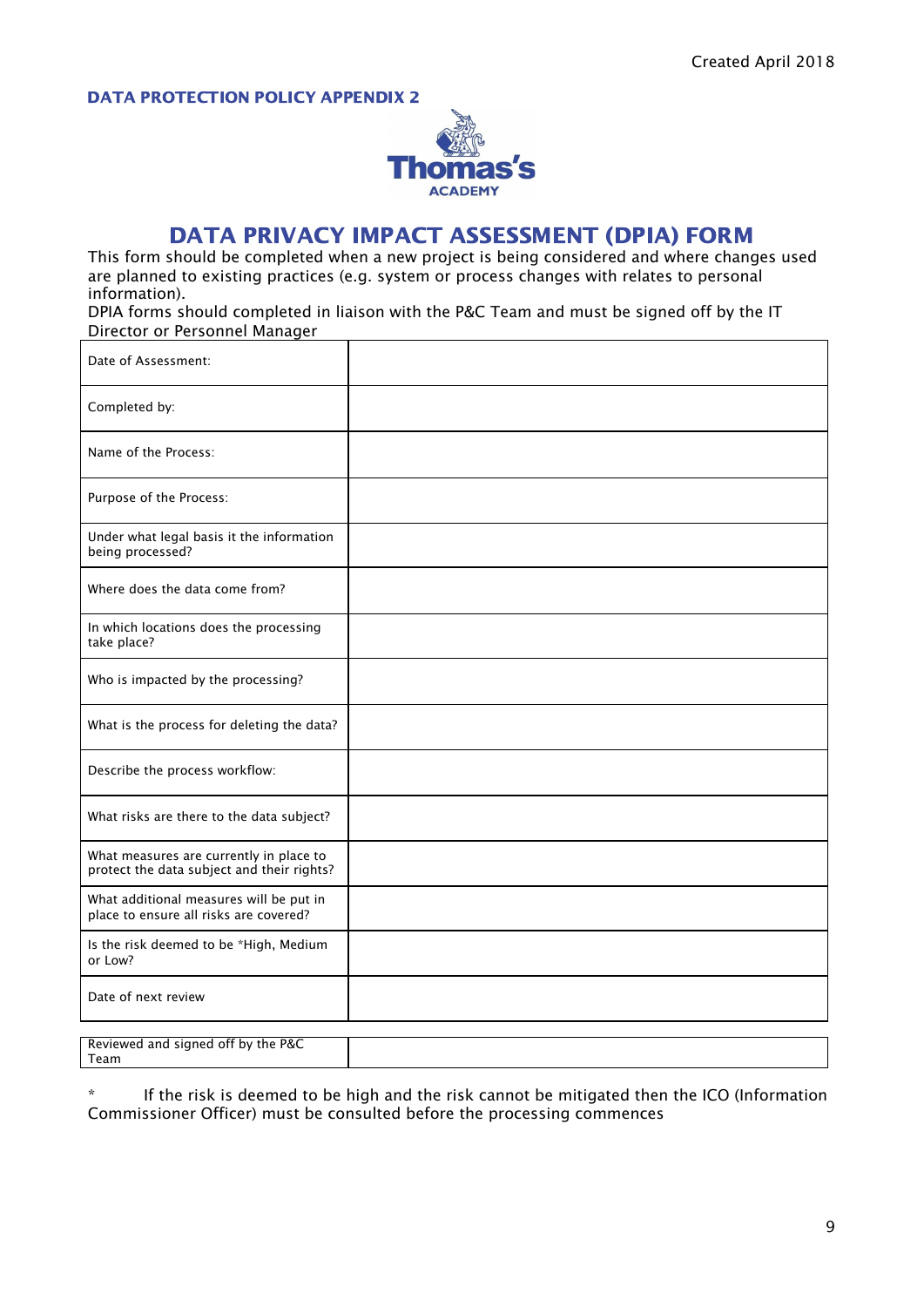## DATA PROTECTION POLICY APPENDIX 2



## DATA PRIVACY IMPACT ASSESSMENT (DPIA) FORM

This form should be completed when a new project is being considered and where changes used are planned to existing practices (e.g. system or process changes with relates to personal information).

DPIA forms should completed in liaison with the P&C Team and must be signed off by the IT Director or Personnel Manager

| Date of Assessment:                                                                   |  |
|---------------------------------------------------------------------------------------|--|
| Completed by:                                                                         |  |
| Name of the Process:                                                                  |  |
| Purpose of the Process:                                                               |  |
| Under what legal basis it the information<br>being processed?                         |  |
| Where does the data come from?                                                        |  |
| In which locations does the processing<br>take place?                                 |  |
| Who is impacted by the processing?                                                    |  |
| What is the process for deleting the data?                                            |  |
| Describe the process workflow:                                                        |  |
| What risks are there to the data subject?                                             |  |
| What measures are currently in place to<br>protect the data subject and their rights? |  |
| What additional measures will be put in<br>place to ensure all risks are covered?     |  |
| Is the risk deemed to be *High, Medium<br>or Low?                                     |  |
| Date of next review                                                                   |  |
| Reviewed and signed off by the P&C                                                    |  |

Team

\* If the risk is deemed to be high and the risk cannot be mitigated then the ICO (Information Commissioner Officer) must be consulted before the processing commences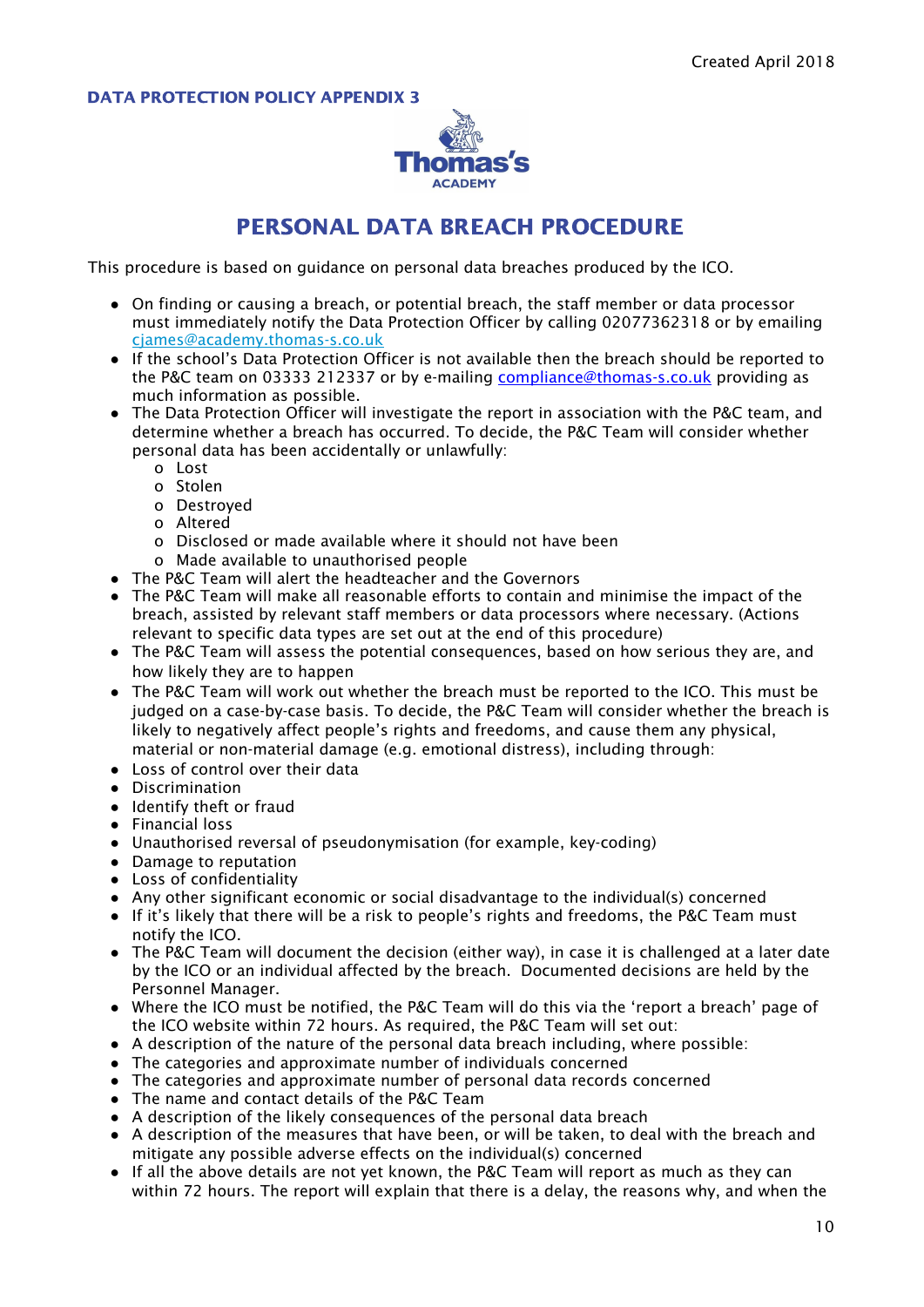#### DATA PROTECTION POLICY APPENDIX 3



## PERSONAL DATA BREACH PROCEDURE

This procedure is based on guidance on personal data breaches produced by the ICO.

- On finding or causing a breach, or potential breach, the staff member or data processor must immediately notify the Data Protection Officer by calling 02077362318 or by emailing [cjames@academy.thomas-s.co.uk](mailto:cjames@academy.thomas-s.co.uk)
- If the school's Data Protection Officer is not available then the breach should be reported to the P&C team on 03333 212337 or by e-mailing [compliance@thomas-s.co.uk](mailto:compliance@thomas-s.co.uk) providing as much information as possible.
- The Data Protection Officer will investigate the report in association with the P&C team, and determine whether a breach has occurred. To decide, the P&C Team will consider whether personal data has been accidentally or unlawfully:
	- o Lost
	- o Stolen
	- o Destroyed
	- o Altered
	- o Disclosed or made available where it should not have been
	- o Made available to unauthorised people
- The P&C Team will alert the headteacher and the Governors
- The P&C Team will make all reasonable efforts to contain and minimise the impact of the breach, assisted by relevant staff members or data processors where necessary. (Actions relevant to specific data types are set out at the end of this procedure)
- The P&C Team will assess the potential consequences, based on how serious they are, and how likely they are to happen
- The P&C Team will work out whether the breach must be reported to the ICO. This must be judged on a case-by-case basis. To decide, the P&C Team will consider whether the breach is likely to negatively affect people's rights and freedoms, and cause them any physical, material or non-material damage (e.g. emotional distress), including through:
- Loss of control over their data
- Discrimination
- Identify theft or fraud
- Financial loss
- Unauthorised reversal of pseudonymisation (for example, key-coding)
- Damage to reputation
- Loss of confidentiality
- Any other significant economic or social disadvantage to the individual(s) concerned
- If it's likely that there will be a risk to people's rights and freedoms, the P&C Team must notify the ICO.
- The P&C Team will document the decision (either way), in case it is challenged at a later date by the ICO or an individual affected by the breach. Documented decisions are held by the Personnel Manager.
- Where the ICO must be notified, the P&C Team will do this via the 'report a breach' page of the ICO website within 72 hours. As required, the P&C Team will set out:
- A description of the nature of the personal data breach including, where possible:
- The categories and approximate number of individuals concerned
- The categories and approximate number of personal data records concerned
- The name and contact details of the P&C Team
- A description of the likely consequences of the personal data breach
- A description of the measures that have been, or will be taken, to deal with the breach and mitigate any possible adverse effects on the individual(s) concerned
- If all the above details are not yet known, the P&C Team will report as much as they can within 72 hours. The report will explain that there is a delay, the reasons why, and when the